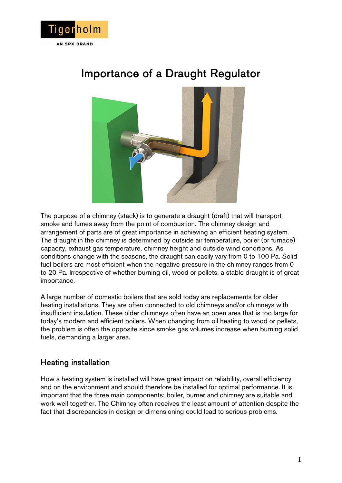

# Importance of a Draught Regulator



The purpose of a chimney (stack) is to generate a draught (draft) that will transport smoke and fumes away from the point of combustion. The chimney design and arrangement of parts are of great importance in achieving an efficient heating system. The draught in the chimney is determined by outside air temperature, boiler (or furnace) capacity, exhaust gas temperature, chimney height and outside wind conditions. As conditions change with the seasons, the draught can easily vary from 0 to 100 Pa. Solid fuel boilers are most efficient when the negative pressure in the chimney ranges from 0 to 20 Pa. Irrespective of whether burning oil, wood or pellets, a stable draught is of great importance.

A large number of domestic boilers that are sold today are replacements for older heating installations. They are often connected to old chimneys and/or chimneys with insufficient insulation. These older chimneys often have an open area that is too large for today's modern and efficient boilers. When changing from oil heating to wood or pellets, the problem is often the opposite since smoke gas volumes increase when burning solid fuels, demanding a larger area.

## Heating installation

How a heating system is installed will have great impact on reliability, overall efficiency and on the environment and should therefore be installed for optimal performance. It is important that the three main components; boiler, burner and chimney are suitable and work well together. The Chimney often receives the least amount of attention despite the fact that discrepancies in design or dimensioning could lead to serious problems.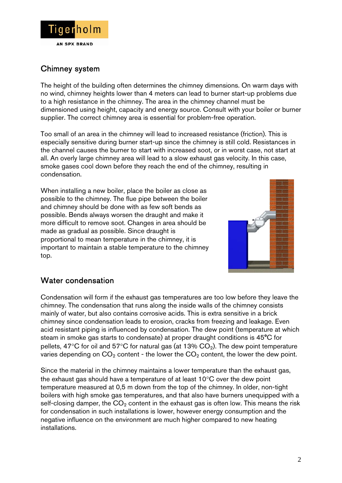

## Chimney system

The height of the building often determines the chimney dimensions. On warm days with no wind, chimney heights lower than 4 meters can lead to burner start-up problems due to a high resistance in the chimney. The area in the chimney channel must be dimensioned using height, capacity and energy source. Consult with your boiler or burner supplier. The correct chimney area is essential for problem-free operation.

Too small of an area in the chimney will lead to increased resistance (friction). This is especially sensitive during burner start-up since the chimney is still cold. Resistances in the channel causes the burner to start with increased soot, or in worst case, not start at all. An overly large chimney area will lead to a slow exhaust gas velocity. In this case, smoke gases cool down before they reach the end of the chimney, resulting in condensation.

When installing a new boiler, place the boiler as close as possible to the chimney. The flue pipe between the boiler and chimney should be done with as few soft bends as possible. Bends always worsen the draught and make it more difficult to remove soot. Changes in area should be made as gradual as possible. Since draught is proportional to mean temperature in the chimney, it is important to maintain a stable temperature to the chimney top.



## Water condensation

Condensation will form if the exhaust gas temperatures are too low before they leave the chimney. The condensation that runs along the inside walls of the chimney consists mainly of water, but also contains corrosive acids. This is extra sensitive in a brick chimney since condensation leads to erosion, cracks from freezing and leakage. Even acid resistant piping is influenced by condensation. The dew point (temperature at which steam in smoke gas starts to condensate) at proper draught conditions is 45°C for pellets, 47°C for oil and 57°C for natural gas (at 13%  $CO<sub>2</sub>$ ). The dew point temperature varies depending on  $CO<sub>2</sub>$  content - the lower the  $CO<sub>2</sub>$  content, the lower the dew point.

Since the material in the chimney maintains a lower temperature than the exhaust gas, the exhaust gas should have a temperature of at least 10°C over the dew point temperature measured at 0,5 m down from the top of the chimney. In older, non-tight boilers with high smoke gas temperatures, and that also have burners unequipped with a self-closing damper, the  $CO<sub>2</sub>$  content in the exhaust gas is often low. This means the risk for condensation in such installations is lower, however energy consumption and the negative influence on the environment are much higher compared to new heating installations.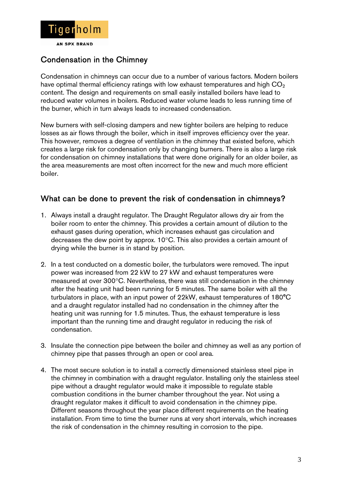

## Condensation in the Chimney

Condensation in chimneys can occur due to a number of various factors. Modern boilers have optimal thermal efficiency ratings with low exhaust temperatures and high  $CO<sub>2</sub>$ content. The design and requirements on small easily installed boilers have lead to reduced water volumes in boilers. Reduced water volume leads to less running time of the burner, which in turn always leads to increased condensation.

New burners with self-closing dampers and new tighter boilers are helping to reduce losses as air flows through the boiler, which in itself improves efficiency over the year. This however, removes a degree of ventilation in the chimney that existed before, which creates a large risk for condensation only by changing burners. There is also a large risk for condensation on chimney installations that were done originally for an older boiler, as the area measurements are most often incorrect for the new and much more efficient boiler.

## What can be done to prevent the risk of condensation in chimneys?

- 1. Always install a draught regulator. The Draught Regulator allows dry air from the boiler room to enter the chimney. This provides a certain amount of dilution to the exhaust gases during operation, which increases exhaust gas circulation and decreases the dew point by approx. 10°C. This also provides a certain amount of drying while the burner is in stand by position.
- 2. In a test conducted on a domestic boiler, the turbulators were removed. The input power was increased from 22 kW to 27 kW and exhaust temperatures were measured at over 300°C. Nevertheless, there was still condensation in the chimney after the heating unit had been running for 5 minutes. The same boiler with all the turbulators in place, with an input power of 22kW, exhaust temperatures of 180°C and a draught regulator installed had no condensation in the chimney after the heating unit was running for 1.5 minutes. Thus, the exhaust temperature is less important than the running time and draught regulator in reducing the risk of condensation.
- 3. Insulate the connection pipe between the boiler and chimney as well as any portion of chimney pipe that passes through an open or cool area.
- 4. The most secure solution is to install a correctly dimensioned stainless steel pipe in the chimney in combination with a draught regulator. Installing only the stainless steel pipe without a draught regulator would make it impossible to regulate stable combustion conditions in the burner chamber throughout the year. Not using a draught regulator makes it difficult to avoid condensation in the chimney pipe. Different seasons throughout the year place different requirements on the heating installation. From time to time the burner runs at very short intervals, which increases the risk of condensation in the chimney resulting in corrosion to the pipe.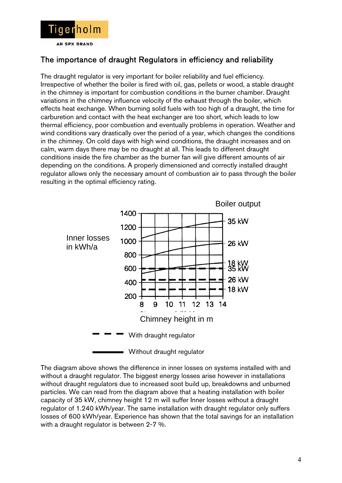

## The importance of draught Regulators in efficiency and reliability

The draught regulator is very important for boiler reliability and fuel efficiency. Irrespective of whether the boiler is fired with oil, gas, pellets or wood, a stable draught in the chimney is important for combustion conditions in the burner chamber. Draught variations in the chimney influence velocity of the exhaust through the boiler, which effects heat exchange. When burning solid fuels with too high of a draught, the time for carburetion and contact with the heat exchanger are too short, which leads to low thermal efficiency, poor combustion and eventually problems in operation. Weather and wind conditions vary drastically over the period of a year, which changes the conditions in the chimney. On cold days with high wind conditions, the draught increases and on calm, warm days there may be no draught at all. This leads to different draught conditions inside the fire chamber as the burner fan will give different amounts of air depending on the conditions. A properly dimensioned and correctly installed draught regulator allows only the necessary amount of combustion air to pass through the boiler resulting in the optimal efficiency rating.



The diagram above shows the difference in inner losses on systems installed with and without a draught regulator. The biggest energy losses arise however in installations without draught regulators due to increased soot build up, breakdowns and unburned particles. We can read from the diagram above that a heating installation with boiler capacity of 35 kW, chimney height 12 m will suffer Inner losses without a draught regulator of 1.240 kWh/year. The same installation with draught regulator only suffers losses of 600 kWh/year. Experience has shown that the total savings for an installation with a draught regulator is between 2-7 %.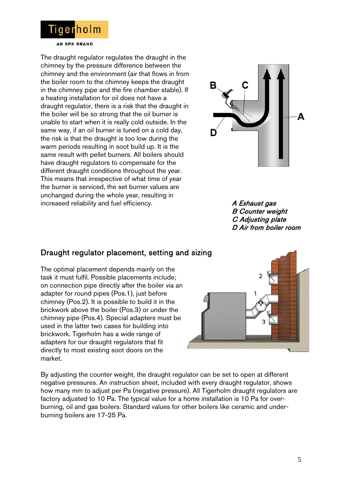

**AN SPX BRAND** 

The draught regulator regulates the draught in the chimney by the pressure difference between the chimney and the environment (air that flows in from the boiler room to the chimney keeps the draught in the chimney pipe and the fire chamber stable). If a heating installation for oil does not have a draught regulator, there is a risk that the draught in the boiler will be so strong that the oil burner is unable to start when it is really cold outside. In the same way, if an oil burner is tuned on a cold day, the risk is that the draught is too low during the warm periods resulting in soot build up. It is the same result with pellet burners. All boilers should have draught regulators to compensate for the different draught conditions throughout the year. This means that irrespective of what time of year the burner is serviced, the set burner values are unchanged during the whole year, resulting in increased reliability and fuel efficiency. A Exhaust gas



 B Counter weight C Adjusting plate D Air from boiler room

## Draught regulator placement, setting and sizing

The optimal placement depends mainly on the task it must fulfil. Possible placements include; on connection pipe directly after the boiler via an adapter for round pipes (Pos.1), just before chimney (Pos.2). It is possible to build it in the brickwork above the boiler (Pos.3) or under the chimney pipe (Pos.4). Special adapters must be used in the latter two cases for building into brickwork. Tigerholm has a wide range of adapters for our draught regulators that fit directly to most existing soot doors on the market.



By adjusting the counter weight, the draught regulator can be set to open at different negative pressures. An instruction sheet, included with every draught regulator, shows how many mm to adjust per Pa (negative pressure). All Tigerholm draught regulators are factory adjusted to 10 Pa. The typical value for a home installation is 10 Pa for overburning, oil and gas boilers. Standard values for other boilers like ceramic and underburning boilers are 17-25 Pa.